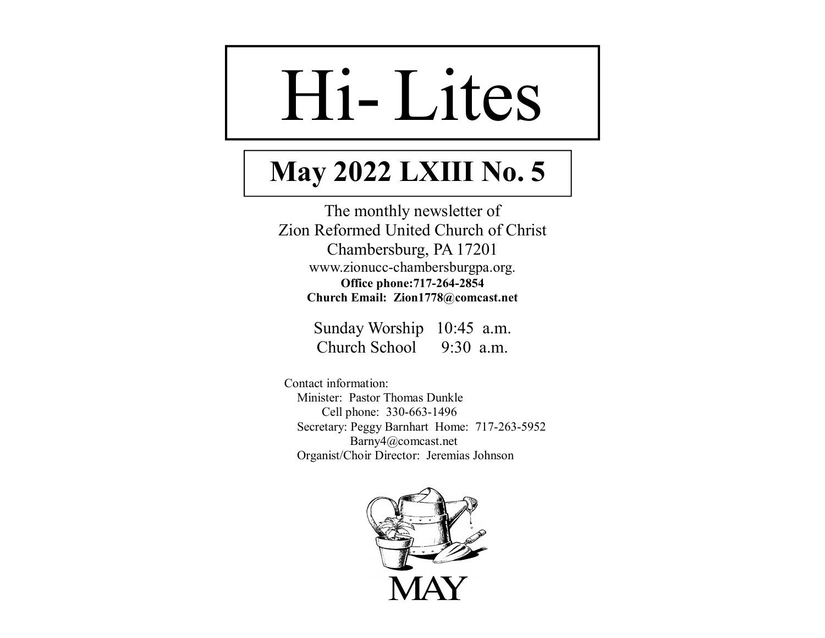# HiLites

## **May 2022 LXIII No. 5**

The monthly newsletter of Zion Reformed United Church of Christ Chambersburg, PA 17201 www.zionucc-chambersburgpa.org. **Office phone:717-264-2854 Church Email: Zion1778@comcast.net** 

> Sunday Worship 10:45 a.m. Church School 9:30 a.m.

 Contact information: Minister: Pastor Thomas Dunkle Cell phone: 330-663-1496 Secretary: Peggy Barnhart Home: 717-263-5952 Barny4@comcast.net Organist/Choir Director: Jeremias Johnson

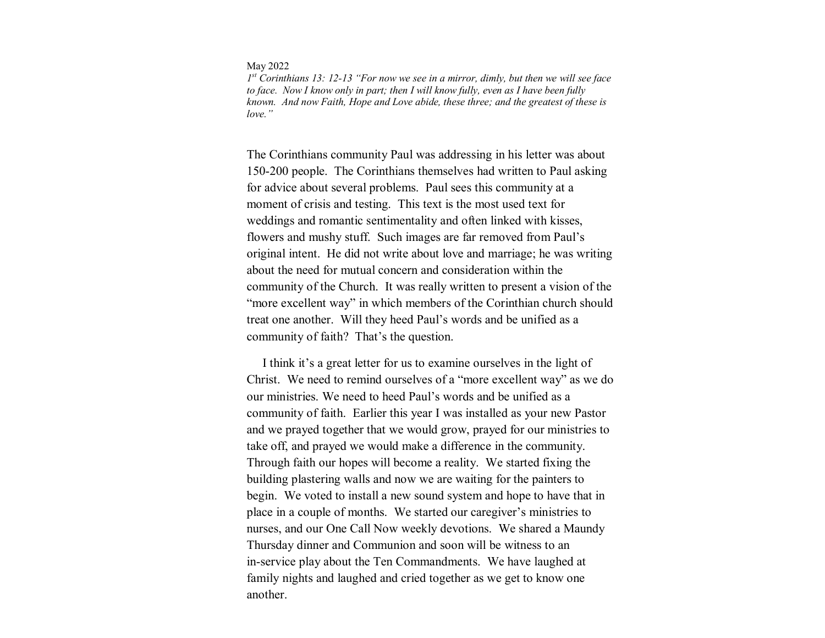#### May 2022

 *1st Corinthians 13: 12-13 "For now we see in a mirror, dimly, but then we will see face to face. Now I know only in part; then I will know fully, even as I have been fully known. And now Faith, Hope and Love abide, these three; and the greatest of these is love."* 

The Corinthians community Paul was addressing in his letter was about 150-200 people. The Corinthians themselves had written to Paul asking for advice about several problems. Paul sees this community at a moment of crisis and testing. This text is the most used text for weddings and romantic sentimentality and often linked with kisses, flowers and mushy stuff. Such images are far removed from Paul's original intent. He did not write about love and marriage; he was writing about the need for mutual concern and consideration within the community of the Church. It was really written to present a vision of the "more excellent way" in which members of the Corinthian church should treat one another. Will they heed Paul's words and be unified as a community of faith? That's the question.

 I think it's a great letter for us to examine ourselves in the light of Christ. We need to remind ourselves of a "more excellent way" as we do our ministries. We need to heed Paul's words and be unified as a community of faith. Earlier this year I was installed as your new Pastor and we prayed together that we would grow, prayed for our ministries to take off, and prayed we would make a difference in the community. Through faith our hopes will become a reality. We started fixing the building plastering walls and now we are waiting for the painters to begin. We voted to install a new sound system and hope to have that in place in a couple of months. We started our caregiver's ministries to nurses, and our One Call Now weekly devotions. We shared a Maundy Thursday dinner and Communion and soon will be witness to an in-service play about the Ten Commandments. We have laughed at family nights and laughed and cried together as we get to know one another.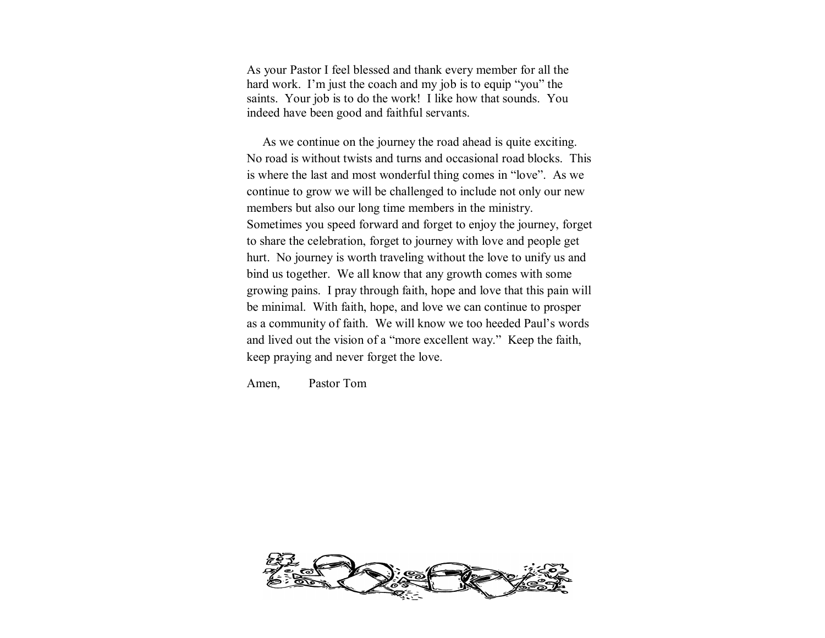As your Pastor I feel blessed and thank every member for all the hard work. I'm just the coach and my job is to equip "you" the saints. Your job is to do the work! I like how that sounds. You indeed have been good and faithful servants.

 As we continue on the journey the road ahead is quite exciting. No road is without twists and turns and occasional road blocks. This is where the last and most wonderful thing comes in "love". As we continue to grow we will be challenged to include not only our new members but also our long time members in the ministry.Sometimes you speed forward and forget to enjoy the journey, forget to share the celebration, forget to journey with love and people get hurt. No journey is worth traveling without the love to unify us and bind us together. We all know that any growth comes with some growing pains. I pray through faith, hope and love that this pain will be minimal. With faith, hope, and love we can continue to prosper as a community of faith. We will know we too heeded Paul's words and lived out the vision of a "more excellent way." Keep the faith, keep praying and never forget the love.

Amen, Pastor Tom

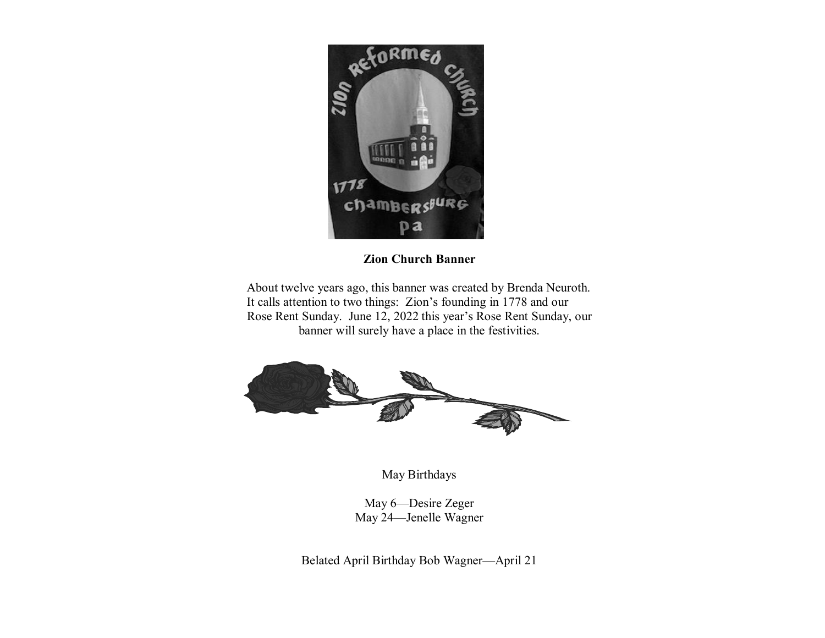

**Zion Church Banner** 

About twelve years ago, this banner was created by Brenda Neuroth. It calls attention to two things: Zion's founding in 1778 and our Rose Rent Sunday. June 12, 2022 this year's Rose Rent Sunday, our banner will surely have a place in the festivities.



May Birthdays

May 6—Desire Zeger May 24—Jenelle Wagner

Belated April Birthday Bob Wagner—April 21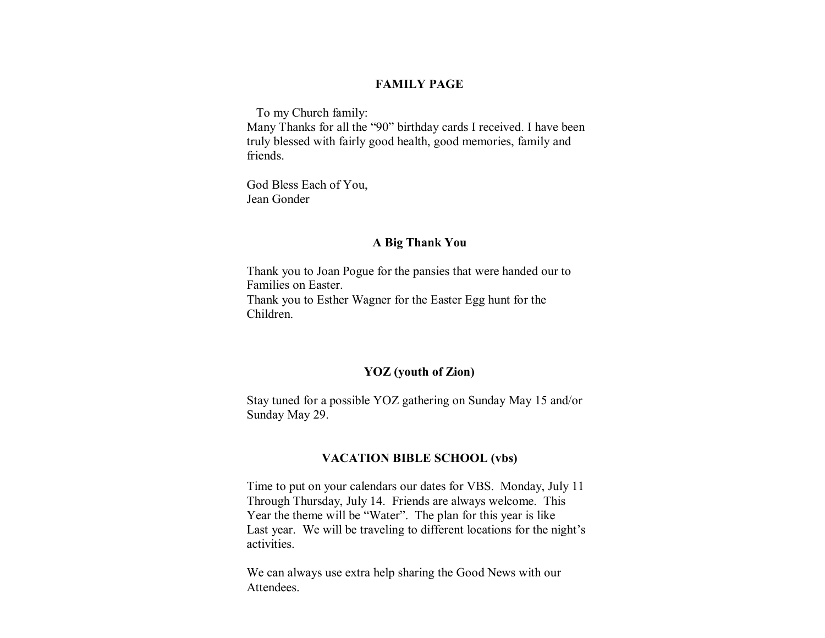#### **FAMILY PAGE**

To my Church family:

 Many Thanks for all the "90" birthday cards I received. I have been truly blessed with fairly good health, good memories, family and friends.

God Bless Each of You, Jean Gonder

#### **A Big Thank You**

Thank you to Joan Pogue for the pansies that were handed our to Families on Easter. Thank you to Esther Wagner for the Easter Egg hunt for the Children.

#### **YOZ (youth of Zion)**

Stay tuned for a possible YOZ gathering on Sunday May 15 and/or Sunday May 29.

#### **VACATION BIBLE SCHOOL (vbs)**

Time to put on your calendars our dates for VBS. Monday, July 11 Through Thursday, July 14. Friends are always welcome. This Year the theme will be "Water". The plan for this year is like Last year. We will be traveling to different locations for the night's activities.

We can always use extra help sharing the Good News with our Attendees.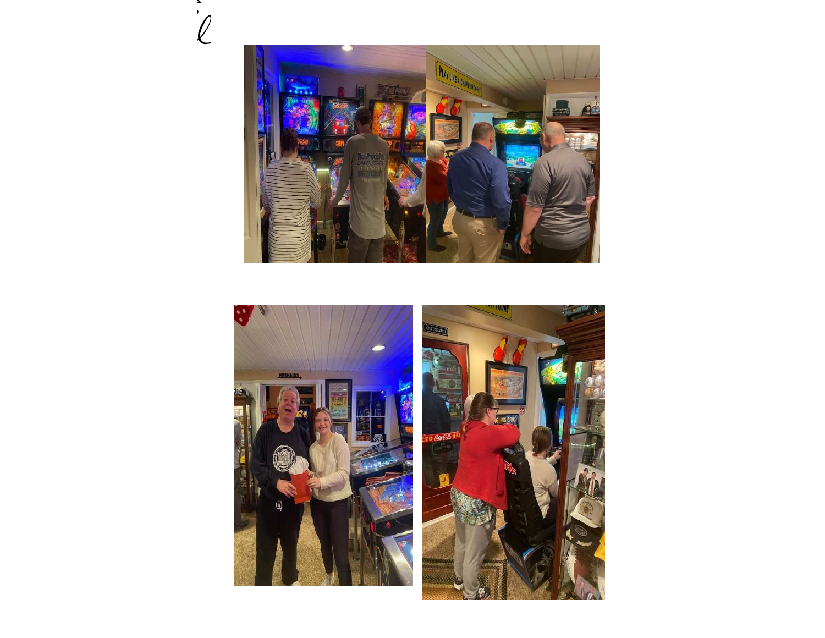

 $\overline{\ell}$ 

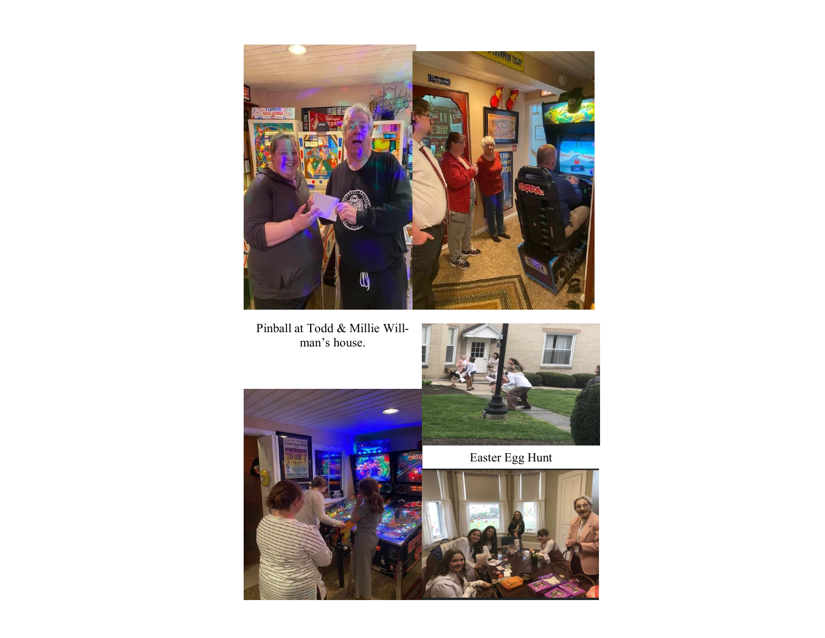

Pinball at Todd & Millie Willman's house.



Easter Egg Hunt

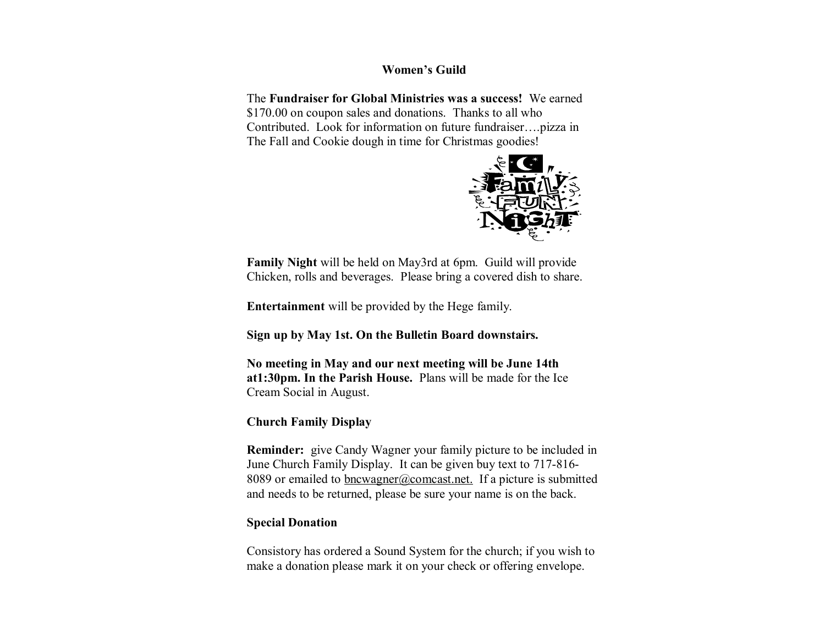#### **Women's Guild**

The **Fundraiser for Global Ministries was a success!** We earned \$170.00 on coupon sales and donations. Thanks to all who Contributed. Look for information on future fundraiser….pizza in The Fall and Cookie dough in time for Christmas goodies!



**Family Night** will be held on May3rd at 6pm. Guild will provide Chicken, rolls and beverages. Please bring a covered dish to share.

**Entertainment** will be provided by the Hege family.

**Sign up by May 1st. On the Bulletin Board downstairs.** 

**No meeting in May and our next meeting will be June 14th at1:30pm. In the Parish House.** Plans will be made for the Ice Cream Social in August.

#### **Church Family Display**

**Reminder:** give Candy Wagner your family picture to be included in June Church Family Display. It can be given buy text to 717-816-8089 or emailed to **bncwagner@comcast.net**. If a picture is submitted and needs to be returned, please be sure your name is on the back.

#### **Special Donation**

Consistory has ordered a Sound System for the church; if you wish to make a donation please mark it on your check or offering envelope.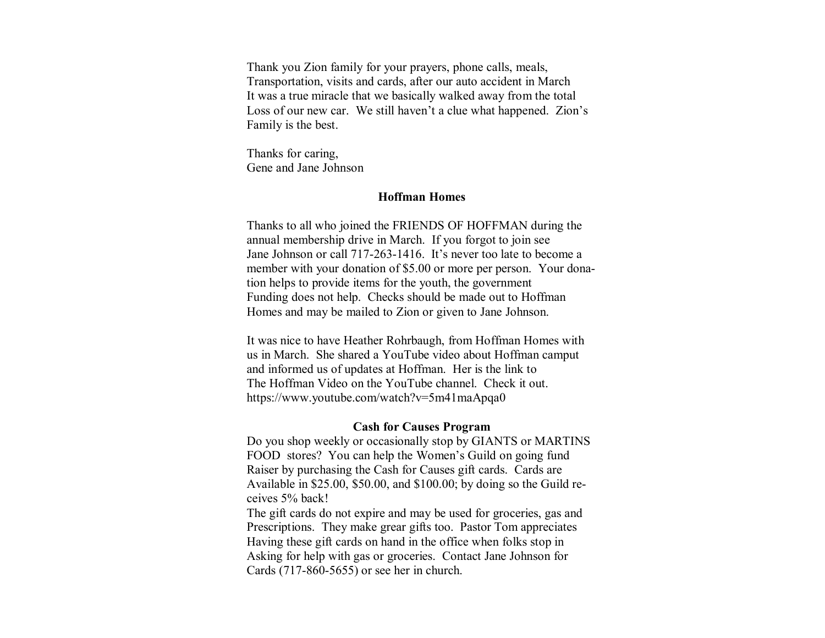Thank you Zion family for your prayers, phone calls, meals, Transportation, visits and cards, after our auto accident in March It was a true miracle that we basically walked away from the total Loss of our new car. We still haven't a clue what happened. Zion's Family is the best.

Thanks for caring, Gene and Jane Johnson

#### **Hoffman Homes**

Thanks to all who joined the FRIENDS OF HOFFMAN during the annual membership drive in March. If you forgot to join see Jane Johnson or call 717-263-1416. It's never too late to become a member with your donation of \$5.00 or more per person. Your donation helps to provide items for the youth, the government Funding does not help. Checks should be made out to Hoffman Homes and may be mailed to Zion or given to Jane Johnson.

It was nice to have Heather Rohrbaugh, from Hoffman Homes with us in March. She shared a YouTube video about Hoffman camput and informed us of updates at Hoffman. Her is the link to The Hoffman Video on the YouTube channel. Check it out.https://www.youtube.com/watch?v=5m41maApqa0

#### **Cash for Causes Program**

Do you shop weekly or occasionally stop by GIANTS or MARTINS FOOD stores? You can help the Women's Guild on going fund Raiser by purchasing the Cash for Causes gift cards. Cards are Available in \$25.00, \$50.00, and \$100.00; by doing so the Guild receives 5% back!

The gift cards do not expire and may be used for groceries, gas and Prescriptions. They make grear gifts too. Pastor Tom appreciates Having these gift cards on hand in the office when folks stop in Asking for help with gas or groceries. Contact Jane Johnson for Cards (717-860-5655) or see her in church.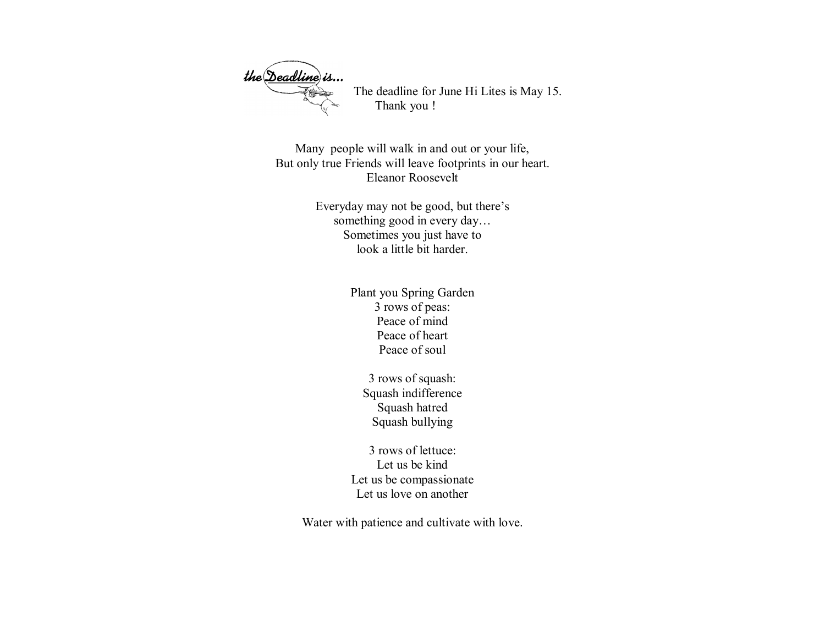the Deadline is...

The deadline for June Hi Lites is May 15. Thank you !

Many people will walk in and out or your life, But only true Friends will leave footprints in our heart. Eleanor Roosevelt

> Everyday may not be good, but there's something good in every day… Sometimes you just have to look a little bit harder.

> > Plant you Spring Garden 3 rows of peas: Peace of mind Peace of heart Peace of soul

3 rows of squash: Squash indifference Squash hatred Squash bullying

3 rows of lettuce: Let us be kind Let us be compassionate Let us love on another

Water with patience and cultivate with love.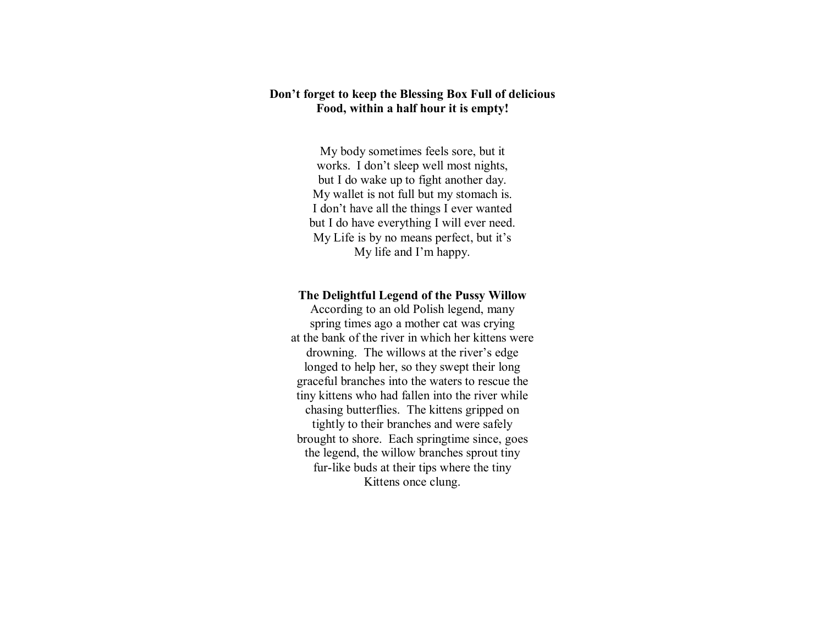### **Don't forget to keep the Blessing Box Full of delicious Food, within a half hour it is empty!**

My body sometimes feels sore, but it works. I don't sleep well most nights, but I do wake up to fight another day. My wallet is not full but my stomach is. I don't have all the things I ever wanted but I do have everything I will ever need. My Life is by no means perfect, but it's My life and I'm happy.

#### **The Delightful Legend of the Pussy Willow**

According to an old Polish legend, many spring times ago a mother cat was crying at the bank of the river in which her kittens were drowning. The willows at the river's edge longed to help her, so they swept their long graceful branches into the waters to rescue the tiny kittens who had fallen into the river while chasing butterflies. The kittens gripped on tightly to their branches and were safely brought to shore. Each springtime since, goes the legend, the willow branches sprout tiny fur-like buds at their tips where the tiny Kittens once clung.